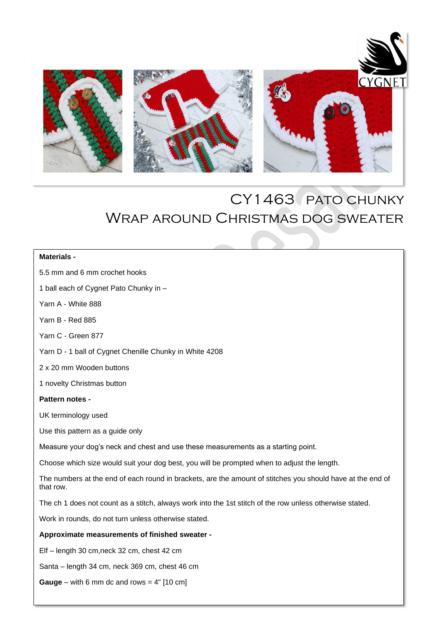

# CY1463 pato chunky Wrap around Christmas dog sweater

### **Materials -**

5.5 mm and 6 mm crochet hooks

1 ball each of Cygnet Pato Chunky in –

Yarn A - White 888

Yarn B - Red 885

Yarn C - Green 877

Yarn D - 1 ball of Cygnet Chenille Chunky in White 4208

2 x 20 mm Wooden buttons

1 novelty Christmas button

#### **Pattern notes -**

UK terminology used

Use this pattern as a guide only

Measure your dog's neck and chest and use these measurements as a starting point.

Choose which size would suit your dog best, you will be prompted when to adjust the length.

 The numbers at the end of each round in brackets, are the amount of stitches you should have at the end of that row.

The ch 1 does not count as a stitch, always work into the 1st stitch of the row unless otherwise stated.

Work in rounds, do not turn unless otherwise stated.

#### **Approximate measurements of finished sweater -**

Elf – length 30 cm,neck 32 cm, chest 42 cm

Santa – length 34 cm, neck 369 cm, chest 46 cm

**Gauge** – with 6 mm dc and rows =  $4$ "  $[10 \text{ cm}]$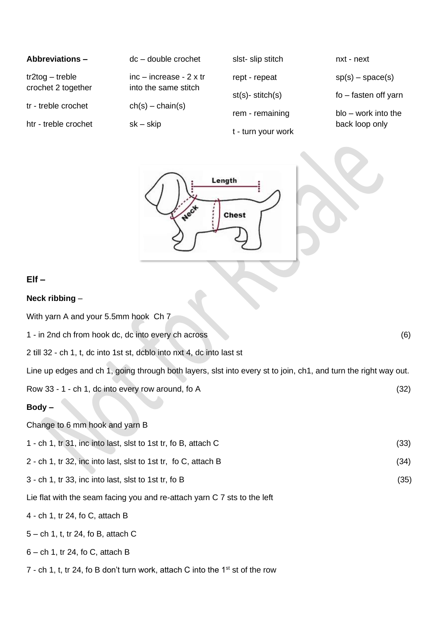| <b>Abbreviations -</b> | $dc - double crochet$    | slst-slip stitch       | nxt - next             |
|------------------------|--------------------------|------------------------|------------------------|
| $tr2$ tog – treble     | $inc - increase - 2x$ tr | rept - repeat          | $sp(s) - space(s)$     |
| crochet 2 together     | into the same stitch     | $st(s)$ - stitch $(s)$ | fo – fasten off yarn   |
| tr - treble crochet    | $ch(s) - chain(s)$       |                        | $b$ lo – work into the |
| htr - treble crochet   | $sk - skip$              | rem - remaining        | back loop only         |
|                        |                          | t - turn your work     |                        |



## **Elf –**

#### **Neck ribbing** –

With yarn A and your 5.5mm hook Ch 7 1 - in 2nd ch from hook dc, dc into every ch across (6) 2 till 32 - ch 1, t, dc into 1st st, dcblo into nxt 4, dc into last st Line up edges and ch 1, going through both layers, slst into every st to join, ch1, and turn the right way out. Row  $33 - 1 - ch 1$ , dc into every row around, fo A  $(32)$ **Body –** Change to 6 mm hook and yarn B 1 - ch 1, tr 31, inc into last, slst to 1st tr, fo B, attach C (33) 2 - ch 1, tr 32, inc into last, slst to 1st tr, fo C, attach B (34) 3 - ch 1, tr 33, inc into last, slst to 1st tr, fo B (35) Lie flat with the seam facing you and re-attach yarn C 7 sts to the left 4 - ch 1, tr 24, fo C, attach B 5 – ch 1, t, tr 24, fo B, attach C

### 6 – ch 1, tr 24, fo C, attach B

7 - ch 1, t, tr 24, fo B don't turn work, attach C into the  $1<sup>st</sup>$  st of the row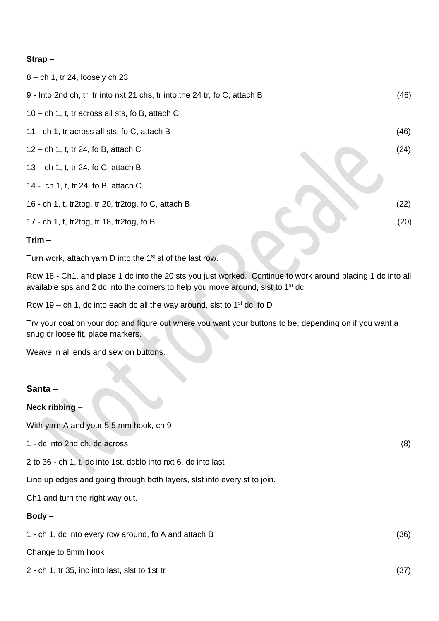## **Strap –**

| 8 – ch 1, tr 24, loosely ch 23                                             |      |
|----------------------------------------------------------------------------|------|
| 9 - Into 2nd ch, tr, tr into nxt 21 chs, tr into the 24 tr, fo C, attach B | (46) |
| $10 - ch$ 1, t, tr across all sts, fo B, attach C                          |      |
| 11 - ch 1, tr across all sts, fo C, attach B                               | (46) |
| $12$ – ch 1, t, tr 24, fo B, attach C                                      | (24) |
| $13$ – ch 1, t, tr 24, fo C, attach B                                      |      |
| 14 - ch 1, t, tr 24, fo B, attach C                                        |      |
| 16 - ch 1, t, tr2tog, tr 20, tr2tog, fo C, attach B                        | (22) |
| 17 - ch 1, t, tr2tog, tr 18, tr2tog, fo B                                  | (20) |
| $Trim -$                                                                   |      |

Turn work, attach yarn D into the 1<sup>st</sup> st of the last row.

Row 18 - Ch1, and place 1 dc into the 20 sts you just worked. Continue to work around placing 1 dc into all available sps and 2 dc into the corners to help you move around, slst to 1<sup>st</sup> dc

Row 19 – ch 1, dc into each dc all the way around, slst to  $1<sup>st</sup>$  dc, fo D

Try your coat on your dog and figure out where you want your buttons to be, depending on if you want a snug or loose fit, place markers.

Weave in all ends and sew on buttons.

### **Santa –**

### **Neck ribbing** –

With yarn A and your 5.5 mm hook, ch 9

1 - dc into 2nd ch, dc across (8)

2 to 36 - ch 1, t, dc into 1st, dcblo into nxt 6, dc into last

Line up edges and going through both layers, slst into every st to join.

Ch1 and turn the right way out.

### **Body –**

1 - ch 1, dc into every row around, fo A and attach B (36)

Change to 6mm hook

2 - ch 1, tr 35, inc into last, slst to 1st tr (37)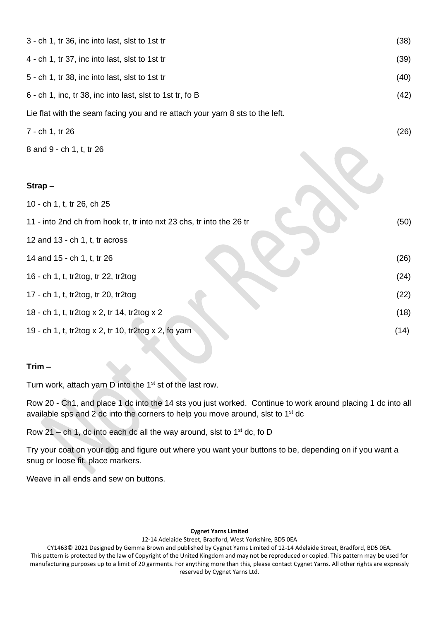| 3 - ch 1, tr 36, inc into last, slst to 1st tr                               |      |  |
|------------------------------------------------------------------------------|------|--|
| 4 - ch 1, tr 37, inc into last, slst to 1st tr                               |      |  |
| 5 - ch 1, tr 38, inc into last, slst to 1st tr                               |      |  |
| 6 - ch 1, inc, tr 38, inc into last, slst to 1st tr, fo B                    |      |  |
| Lie flat with the seam facing you and re attach your yarn 8 sts to the left. |      |  |
| 7 - ch 1, tr 26                                                              |      |  |
| 8 and 9 - ch 1, t, tr 26                                                     |      |  |
| Strap-                                                                       |      |  |
| 10 - ch 1, t, tr 26, ch 25                                                   |      |  |
| 11 - into 2nd ch from hook tr, tr into nxt 23 chs, tr into the 26 tr         |      |  |
| 12 and 13 - ch 1, t, $tr$ across                                             |      |  |
| 14 and 15 - ch 1, t, tr 26                                                   | (26) |  |
| 16 - ch 1, t, tr2tog, tr 22, tr2tog                                          | (24) |  |
| 17 - ch 1, t, tr2tog, tr 20, tr2tog                                          | (22) |  |
| 18 - ch 1, t, tr2tog x 2, tr 14, tr2tog x 2                                  | (18) |  |
| 19 - ch 1, t, tr2tog x 2, tr 10, tr2tog x 2, fo yarn                         | (14) |  |

## **Trim –**

Turn work, attach yarn D into the 1st st of the last row.

Row 20 - Ch1, and place 1 dc into the 14 sts you just worked. Continue to work around placing 1 dc into all available sps and 2 dc into the corners to help you move around, slst to  $1<sup>st</sup>$  dc

Row 21 – ch 1, dc into each dc all the way around, slst to  $1<sup>st</sup>$  dc, fo D

Try your coat on your dog and figure out where you want your buttons to be, depending on if you want a snug or loose fit, place markers.

Weave in all ends and sew on buttons.

#### **Cygnet Yarns Limited**

12-14 Adelaide Street, Bradford, West Yorkshire, BD5 0EA

CY1463© 2021 Designed by Gemma Brown and published by Cygnet Yarns Limited of 12-14 Adelaide Street, Bradford, BD5 0EA. This pattern is protected by the law of Copyright of the United Kingdom and may not be reproduced or copied. This pattern may be used for manufacturing purposes up to a limit of 20 garments. For anything more than this, please contact Cygnet Yarns. All other rights are expressly reserved by Cygnet Yarns Ltd.